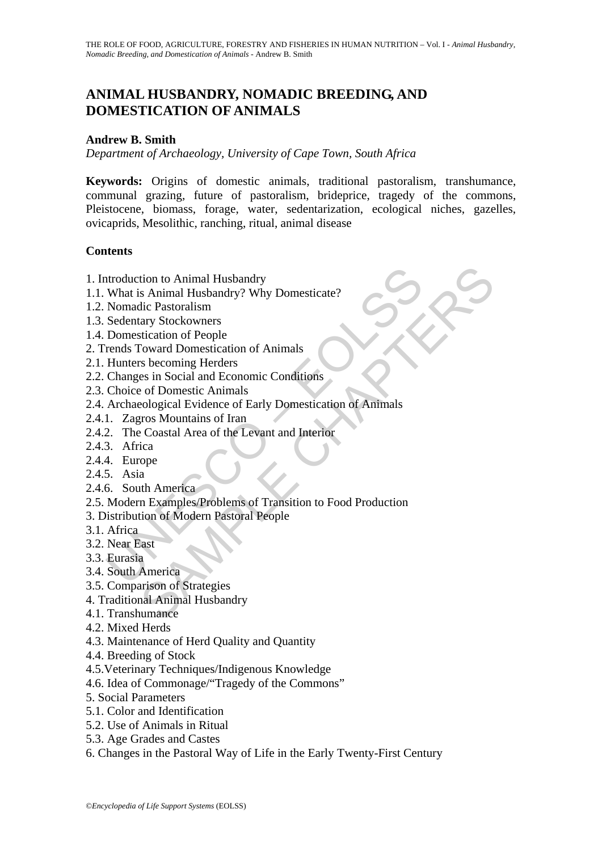# **ANIMAL HUSBANDRY, NOMADIC BREEDING, AND DOMESTICATION OF ANIMALS**

#### **Andrew B. Smith**

*Department of Archaeology, University of Cape Town, South Africa* 

**Keywords:** Origins of domestic animals, traditional pastoralism, transhumance, communal grazing, future of pastoralism, brideprice, tragedy of the commons, Pleistocene, biomass, forage, water, sedentarization, ecological niches, gazelles, ovicaprids, Mesolithic, ranching, ritual, animal disease

### **Contents**

- 1. Introduction to Animal Husbandry
- 1.1. What is Animal Husbandry? Why Domesticate?
- 1.2. Nomadic Pastoralism
- 1.3. Sedentary Stockowners
- 1.4. Domestication of People
- 2. Trends Toward Domestication of Animals
- 2.1. Hunters becoming Herders
- 2.2. Changes in Social and Economic Conditions
- 2.3. Choice of Domestic Animals
- 2.4. Archaeological Evidence of Early Domestication of Animals
- 2.4.1. Zagros Mountains of Iran
- 2.4.2. The Coastal Area of the Levant and Interior
- 2.4.3. Africa
- 2.4.4. Europe
- 2.4.5. Asia
- 2.4.6. South America
- Moduction to Animal Husbandry<br>
What is Animal Husbandry? Why Domesticate?<br>
Nomadic Pastoralism<br>
Sedentary Stockowners<br>
Domestication of People<br>
Hunters becoming Herders<br>
Hunters becoming Herders<br>
Changes in Social and Econ tion to Animal Husbandry<br>
S Animal Husbandry? Why Domesticate?<br>
dic Pastoralism<br>
rary Stockowners<br>
strictation of People<br>
foward Domestication of Animals<br>
se becoming Herders<br>
of Domestic Animals<br>
eological Evidence of Ear 2.5. Modern Examples/Problems of Transition to Food Production
- 3. Distribution of Modern Pastoral People
- 3.1. Africa
- 3.2. Near East
- 3.3. Eurasia
- 3.4. South America
- 3.5. Comparison of Strategies
- 4. Traditional Animal Husbandry
- 4.1. Transhumance
- 4.2. Mixed Herds
- 4.3. Maintenance of Herd Quality and Quantity
- 4.4. Breeding of Stock
- 4.5.Veterinary Techniques/Indigenous Knowledge
- 4.6. Idea of Commonage/"Tragedy of the Commons"
- 5. Social Parameters
- 5.1. Color and Identification
- 5.2. Use of Animals in Ritual
- 5.3. Age Grades and Castes
- 6. Changes in the Pastoral Way of Life in the Early Twenty-First Century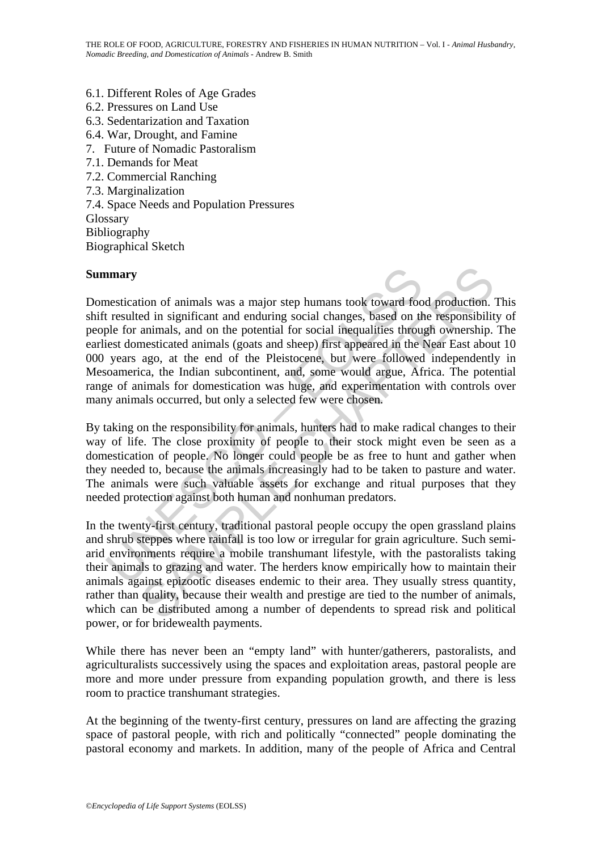- 6.1. Different Roles of Age Grades
- 6.2. Pressures on Land Use
- 6.3. Sedentarization and Taxation
- 6.4. War, Drought, and Famine
- 7. Future of Nomadic Pastoralism
- 7.1. Demands for Meat
- 7.2. Commercial Ranching
- 7.3. Marginalization
- 7.4. Space Needs and Population Pressures
- Glossary

Bibliography

Biographical Sketch

#### **Summary**

**numary**<br> **amatry**<br> **amatrical** of animals was a major step humans took toward foot<br>
tresulted in significant and enduring social changes, based on the<br>
ple for animals, and on the potential for social inequalities throu<sub>l</sub> tion of animals was a major step humans took toward food production.<br>
ed in significant and enduring social changes, based on the responsibilit<br>
animals, and on the potential for social inequalities through ownership.<br>
mes Domestication of animals was a major step humans took toward food production. This shift resulted in significant and enduring social changes, based on the responsibility of people for animals, and on the potential for social inequalities through ownership. The earliest domesticated animals (goats and sheep) first appeared in the Near East about 10 000 years ago, at the end of the Pleistocene, but were followed independently in Mesoamerica, the Indian subcontinent, and, some would argue, Africa. The potential range of animals for domestication was huge, and experimentation with controls over many animals occurred, but only a selected few were chosen.

By taking on the responsibility for animals, hunters had to make radical changes to their way of life. The close proximity of people to their stock might even be seen as a domestication of people. No longer could people be as free to hunt and gather when they needed to, because the animals increasingly had to be taken to pasture and water. The animals were such valuable assets for exchange and ritual purposes that they needed protection against both human and nonhuman predators.

In the twenty-first century, traditional pastoral people occupy the open grassland plains and shrub steppes where rainfall is too low or irregular for grain agriculture. Such semiarid environments require a mobile transhumant lifestyle, with the pastoralists taking their animals to grazing and water. The herders know empirically how to maintain their animals against epizootic diseases endemic to their area. They usually stress quantity, rather than quality, because their wealth and prestige are tied to the number of animals, which can be distributed among a number of dependents to spread risk and political power, or for bridewealth payments.

While there has never been an "empty land" with hunter/gatherers, pastoralists, and agriculturalists successively using the spaces and exploitation areas, pastoral people are more and more under pressure from expanding population growth, and there is less room to practice transhumant strategies.

At the beginning of the twenty-first century, pressures on land are affecting the grazing space of pastoral people, with rich and politically "connected" people dominating the pastoral economy and markets. In addition, many of the people of Africa and Central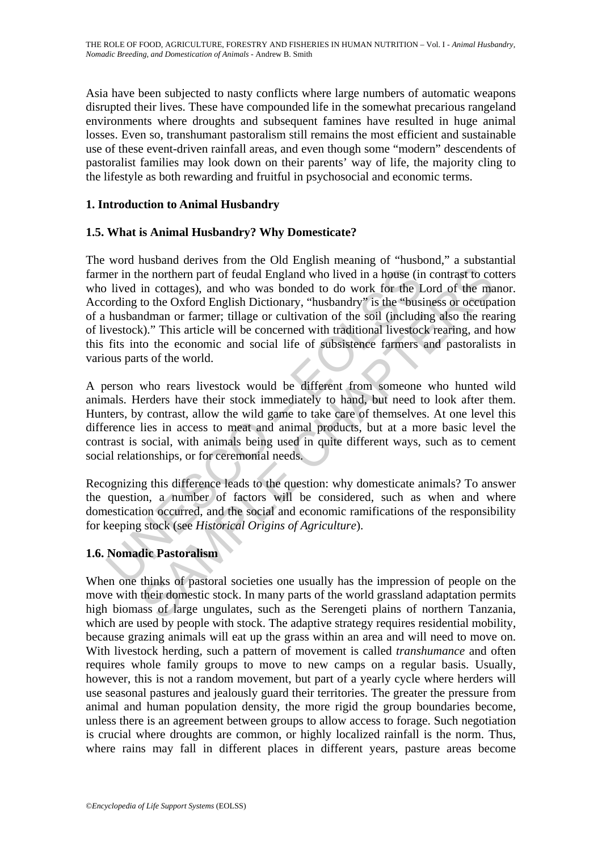Asia have been subjected to nasty conflicts where large numbers of automatic weapons disrupted their lives. These have compounded life in the somewhat precarious rangeland environments where droughts and subsequent famines have resulted in huge animal losses. Even so, transhumant pastoralism still remains the most efficient and sustainable use of these event-driven rainfall areas, and even though some "modern" descendents of pastoralist families may look down on their parents' way of life, the majority cling to the lifestyle as both rewarding and fruitful in psychosocial and economic terms.

# **1. Introduction to Animal Husbandry**

### **1.5. What is Animal Husbandry? Why Domesticate?**

ner in the northern part of feudal England who lived in a house (in lived in cottages), and who was bonded to do work for the L ording to the Oxford English Dictionary, "husbandry" is the "busi husbandman or farmer; tillag the northern part of feudal England who lived in a house (in contrast to co<br>in cottages), and who was bonded to do work for the Lord of the ma<br>to the Oxford English Dictionary, "husbandry" is the "business or occupa-<br>to th The word husband derives from the Old English meaning of "husbond," a substantial farmer in the northern part of feudal England who lived in a house (in contrast to cotters who lived in cottages), and who was bonded to do work for the Lord of the manor. According to the Oxford English Dictionary, "husbandry" is the "business or occupation of a husbandman or farmer; tillage or cultivation of the soil (including also the rearing of livestock)." This article will be concerned with traditional livestock rearing, and how this fits into the economic and social life of subsistence farmers and pastoralists in various parts of the world.

A person who rears livestock would be different from someone who hunted wild animals. Herders have their stock immediately to hand, but need to look after them. Hunters, by contrast, allow the wild game to take care of themselves. At one level this difference lies in access to meat and animal products, but at a more basic level the contrast is social, with animals being used in quite different ways, such as to cement social relationships, or for ceremonial needs.

Recognizing this difference leads to the question: why domesticate animals? To answer the question, a number of factors will be considered, such as when and where domestication occurred, and the social and economic ramifications of the responsibility for keeping stock (see *Historical Origins of Agriculture*).

# **1.6. Nomadic Pastoralism**

When one thinks of pastoral societies one usually has the impression of people on the move with their domestic stock. In many parts of the world grassland adaptation permits high biomass of large ungulates, such as the Serengeti plains of northern Tanzania, which are used by people with stock. The adaptive strategy requires residential mobility, because grazing animals will eat up the grass within an area and will need to move on. With livestock herding, such a pattern of movement is called *transhumance* and often requires whole family groups to move to new camps on a regular basis. Usually, however, this is not a random movement, but part of a yearly cycle where herders will use seasonal pastures and jealously guard their territories. The greater the pressure from animal and human population density, the more rigid the group boundaries become, unless there is an agreement between groups to allow access to forage. Such negotiation is crucial where droughts are common, or highly localized rainfall is the norm. Thus, where rains may fall in different places in different years, pasture areas become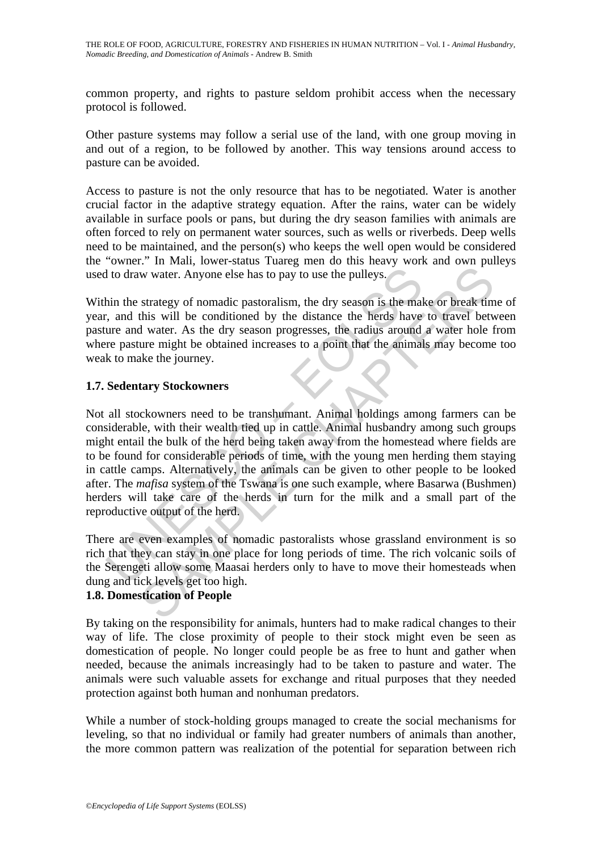common property, and rights to pasture seldom prohibit access when the necessary protocol is followed.

Other pasture systems may follow a serial use of the land, with one group moving in and out of a region, to be followed by another. This way tensions around access to pasture can be avoided.

Access to pasture is not the only resource that has to be negotiated. Water is another crucial factor in the adaptive strategy equation. After the rains, water can be widely available in surface pools or pans, but during the dry season families with animals are often forced to rely on permanent water sources, such as wells or riverbeds. Deep wells need to be maintained, and the person(s) who keeps the well open would be considered the "owner." In Mali, lower-status Tuareg men do this heavy work and own pulleys used to draw water. Anyone else has to pay to use the pulleys.

Within the strategy of nomadic pastoralism, the dry season is the make or break time of year, and this will be conditioned by the distance the herds have to travel between pasture and water. As the dry season progresses, the radius around a water hole from where pasture might be obtained increases to a point that the animals may become too weak to make the journey.

### **1.7. Sedentary Stockowners**

It of draw water. Anyone else has to pay to use the pulleys.<br>
in the strategy of nomadic pastoralism, the dry season is the maltimeter, and this will be conditioned by the distance the herds have<br>
it and that water. As the We water. Anyone else has to pay to use the pulleys.<br>
strategy of nonadic pastoralism, the dry season is the make or break tim<br>
this will be conditioned by the distance the herds have to travel bett<br>
divater. As the dry se Not all stockowners need to be transhumant. Animal holdings among farmers can be considerable, with their wealth tied up in cattle. Animal husbandry among such groups might entail the bulk of the herd being taken away from the homestead where fields are to be found for considerable periods of time, with the young men herding them staying in cattle camps. Alternatively, the animals can be given to other people to be looked after. The *mafisa* system of the Tswana is one such example, where Basarwa (Bushmen) herders will take care of the herds in turn for the milk and a small part of the reproductive output of the herd.

There are even examples of nomadic pastoralists whose grassland environment is so rich that they can stay in one place for long periods of time. The rich volcanic soils of the Serengeti allow some Maasai herders only to have to move their homesteads when dung and tick levels get too high.

# **1.8. Domestication of People**

By taking on the responsibility for animals, hunters had to make radical changes to their way of life. The close proximity of people to their stock might even be seen as domestication of people. No longer could people be as free to hunt and gather when needed, because the animals increasingly had to be taken to pasture and water. The animals were such valuable assets for exchange and ritual purposes that they needed protection against both human and nonhuman predators.

While a number of stock-holding groups managed to create the social mechanisms for leveling, so that no individual or family had greater numbers of animals than another, the more common pattern was realization of the potential for separation between rich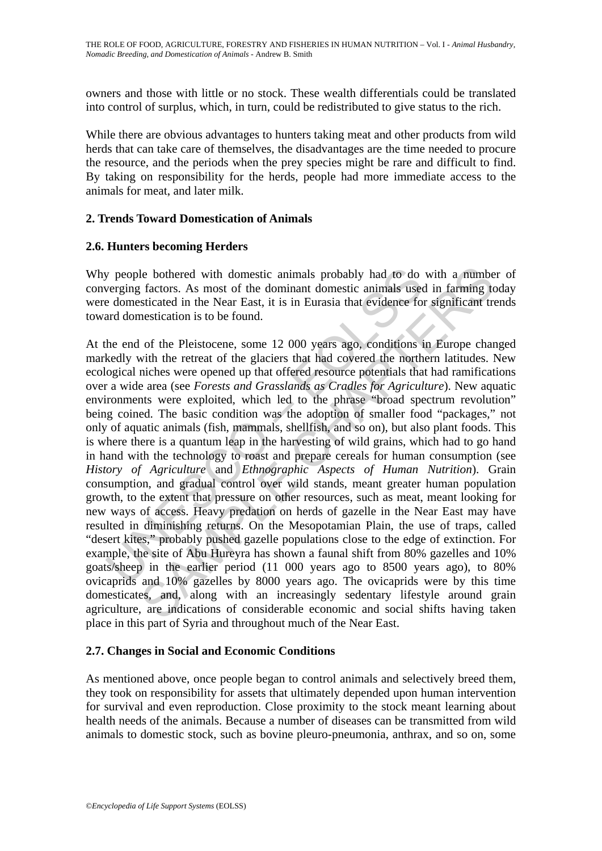owners and those with little or no stock. These wealth differentials could be translated into control of surplus, which, in turn, could be redistributed to give status to the rich.

While there are obvious advantages to hunters taking meat and other products from wild herds that can take care of themselves, the disadvantages are the time needed to procure the resource, and the periods when the prey species might be rare and difficult to find. By taking on responsibility for the herds, people had more immediate access to the animals for meat, and later milk.

### **2. Trends Toward Domestication of Animals**

### **2.6. Hunters becoming Herders**

Why people bothered with domestic animals probably had to do with a number of converging factors. As most of the dominant domestic animals used in farming today were domesticated in the Near East, it is in Eurasia that evidence for significant trends toward domestication is to be found.

y people bothered with domestic animals probably had to do<br>verging factors. As most of the dominant domestic animals use<br>e domesticated in the Near East, it is in Eurasia that evidence for<br>and domesticated in the Near East le bothered with domestic animals probably had to do with a numbe<br>
(factors. As most of the dominant domestic animals used in farming to<br>
sticated in the Near East, it is in Eurasia that evidence for significant tre<br>
nest At the end of the Pleistocene, some 12 000 years ago, conditions in Europe changed markedly with the retreat of the glaciers that had covered the northern latitudes. New ecological niches were opened up that offered resource potentials that had ramifications over a wide area (see *Forests and Grasslands as Cradles for Agriculture*). New aquatic environments were exploited, which led to the phrase "broad spectrum revolution" being coined. The basic condition was the adoption of smaller food "packages," not only of aquatic animals (fish, mammals, shellfish, and so on), but also plant foods. This is where there is a quantum leap in the harvesting of wild grains, which had to go hand in hand with the technology to roast and prepare cereals for human consumption (see *History of Agriculture* and *Ethnographic Aspects of Human Nutrition*). Grain consumption, and gradual control over wild stands, meant greater human population growth, to the extent that pressure on other resources, such as meat, meant looking for new ways of access. Heavy predation on herds of gazelle in the Near East may have resulted in diminishing returns. On the Mesopotamian Plain, the use of traps, called "desert kites," probably pushed gazelle populations close to the edge of extinction. For example, the site of Abu Hureyra has shown a faunal shift from 80% gazelles and 10% goats/sheep in the earlier period (11 000 years ago to 8500 years ago), to 80% ovicaprids and 10% gazelles by 8000 years ago. The ovicaprids were by this time domesticates, and, along with an increasingly sedentary lifestyle around grain agriculture, are indications of considerable economic and social shifts having taken place in this part of Syria and throughout much of the Near East.

# **2.7. Changes in Social and Economic Conditions**

As mentioned above, once people began to control animals and selectively breed them, they took on responsibility for assets that ultimately depended upon human intervention for survival and even reproduction. Close proximity to the stock meant learning about health needs of the animals. Because a number of diseases can be transmitted from wild animals to domestic stock, such as bovine pleuro-pneumonia, anthrax, and so on, some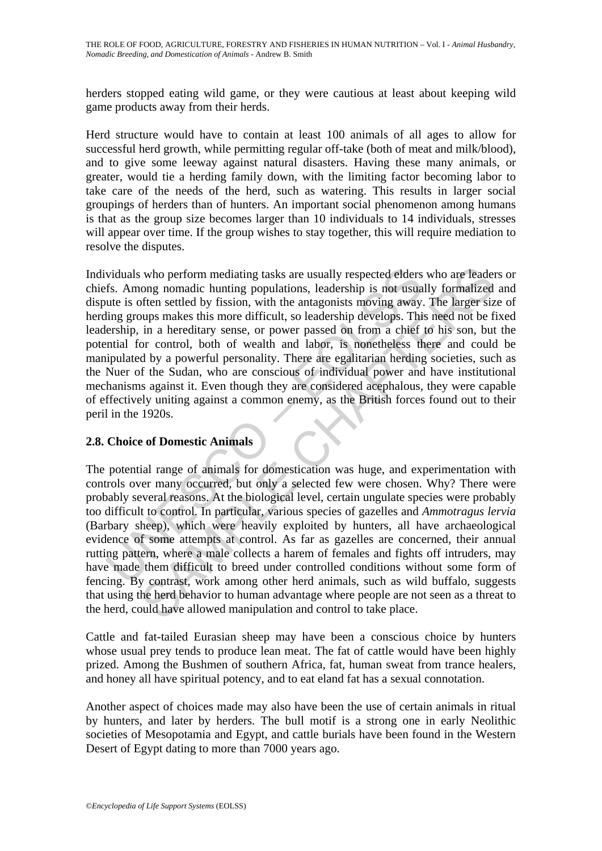herders stopped eating wild game, or they were cautious at least about keeping wild game products away from their herds.

Herd structure would have to contain at least 100 animals of all ages to allow for successful herd growth, while permitting regular off-take (both of meat and milk/blood), and to give some leeway against natural disasters. Having these many animals, or greater, would tie a herding family down, with the limiting factor becoming labor to take care of the needs of the herd, such as watering. This results in larger social groupings of herders than of hunters. An important social phenomenon among humans is that as the group size becomes larger than 10 individuals to 14 individuals, stresses will appear over time. If the group wishes to stay together, this will require mediation to resolve the disputes.

viduals who perform mediating tasks are usually respected elders<br>fs. Among nomadic hunting populations, leadership is not usua<br>ute is often settled by fission, with the antagonists moving away,<br>ting groups makes this more who perform mediating tasks are usually respected elders who are leader<br>ong nomadic hunting populations, leadership is not usually formalized<br>often settled by fission, with the antagonists moving away. The larger size<br>oups Individuals who perform mediating tasks are usually respected elders who are leaders or chiefs. Among nomadic hunting populations, leadership is not usually formalized and dispute is often settled by fission, with the antagonists moving away. The larger size of herding groups makes this more difficult, so leadership develops. This need not be fixed leadership, in a hereditary sense, or power passed on from a chief to his son, but the potential for control, both of wealth and labor, is nonetheless there and could be manipulated by a powerful personality. There are egalitarian herding societies, such as the Nuer of the Sudan, who are conscious of individual power and have institutional mechanisms against it. Even though they are considered acephalous, they were capable of effectively uniting against a common enemy, as the British forces found out to their peril in the 1920s.

# **2.8. Choice of Domestic Animals**

The potential range of animals for domestication was huge, and experimentation with controls over many occurred, but only a selected few were chosen. Why? There were probably several reasons. At the biological level, certain ungulate species were probably too difficult to control. In particular, various species of gazelles and *Ammotragus lervia* (Barbary sheep), which were heavily exploited by hunters, all have archaeological evidence of some attempts at control. As far as gazelles are concerned, their annual rutting pattern, where a male collects a harem of females and fights off intruders, may have made them difficult to breed under controlled conditions without some form of fencing. By contrast, work among other herd animals, such as wild buffalo, suggests that using the herd behavior to human advantage where people are not seen as a threat to the herd, could have allowed manipulation and control to take place.

Cattle and fat-tailed Eurasian sheep may have been a conscious choice by hunters whose usual prey tends to produce lean meat. The fat of cattle would have been highly prized. Among the Bushmen of southern Africa, fat, human sweat from trance healers, and honey all have spiritual potency, and to eat eland fat has a sexual connotation.

Another aspect of choices made may also have been the use of certain animals in ritual by hunters, and later by herders. The bull motif is a strong one in early Neolithic societies of Mesopotamia and Egypt, and cattle burials have been found in the Western Desert of Egypt dating to more than 7000 years ago.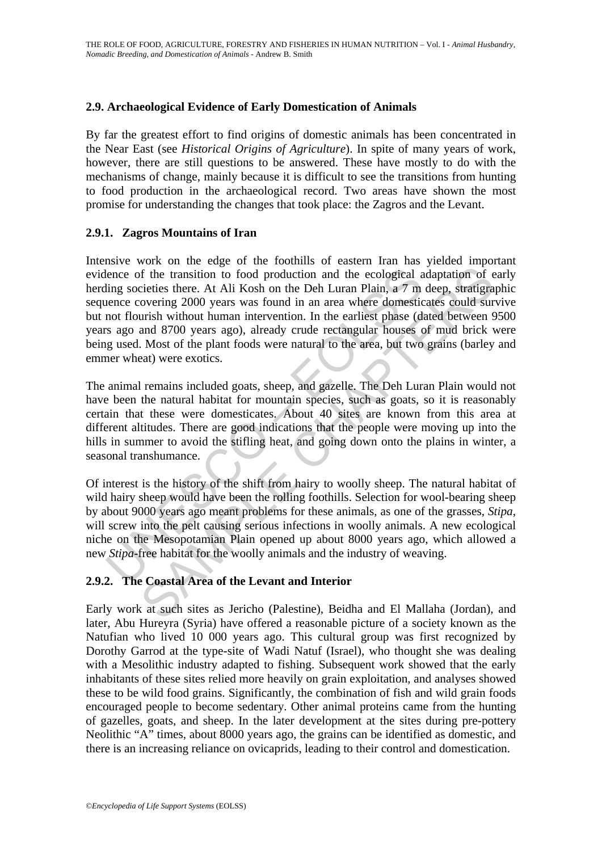### **2.9. Archaeological Evidence of Early Domestication of Animals**

By far the greatest effort to find origins of domestic animals has been concentrated in the Near East (see *Historical Origins of Agriculture*). In spite of many years of work, however, there are still questions to be answered. These have mostly to do with the mechanisms of change, mainly because it is difficult to see the transitions from hunting to food production in the archaeological record. Two areas have shown the most promise for understanding the changes that took place: the Zagros and the Levant.

### **2.9.1. Zagros Mountains of Iran**

lence of the transition to food production and the ecological a<br>ling societies there. At Ali Kosh on the Deh Luran Plain, a 7 m<br>ence covering 2000 years was found in an area where domestic<br>not flourish without human interv of the transition to food production and the ecological adaptation of ecieties there. At Ali Kosh on the Deh Luran Plain, a  $7$  m deep, stratigra overing 2000 years was found in an area where domesticates could survativit Intensive work on the edge of the foothills of eastern Iran has yielded important evidence of the transition to food production and the ecological adaptation of early herding societies there. At Ali Kosh on the Deh Luran Plain, a 7 m deep, stratigraphic sequence covering 2000 years was found in an area where domesticates could survive but not flourish without human intervention. In the earliest phase (dated between 9500 years ago and 8700 years ago), already crude rectangular houses of mud brick were being used. Most of the plant foods were natural to the area, but two grains (barley and emmer wheat) were exotics.

The animal remains included goats, sheep, and gazelle. The Deh Luran Plain would not have been the natural habitat for mountain species, such as goats, so it is reasonably certain that these were domesticates. About 40 sites are known from this area at different altitudes. There are good indications that the people were moving up into the hills in summer to avoid the stifling heat, and going down onto the plains in winter, a seasonal transhumance.

Of interest is the history of the shift from hairy to woolly sheep. The natural habitat of wild hairy sheep would have been the rolling foothills. Selection for wool-bearing sheep by about 9000 years ago meant problems for these animals, as one of the grasses, *Stipa*, will screw into the pelt causing serious infections in woolly animals. A new ecological niche on the Mesopotamian Plain opened up about 8000 years ago, which allowed a new *Stipa*-free habitat for the woolly animals and the industry of weaving.

# **2.9.2. The Coastal Area of the Levant and Interior**

Early work at such sites as Jericho (Palestine), Beidha and El Mallaha (Jordan), and later, Abu Hureyra (Syria) have offered a reasonable picture of a society known as the Natufian who lived 10 000 years ago. This cultural group was first recognized by Dorothy Garrod at the type-site of Wadi Natuf (Israel), who thought she was dealing with a Mesolithic industry adapted to fishing. Subsequent work showed that the early inhabitants of these sites relied more heavily on grain exploitation, and analyses showed these to be wild food grains. Significantly, the combination of fish and wild grain foods encouraged people to become sedentary. Other animal proteins came from the hunting of gazelles, goats, and sheep. In the later development at the sites during pre-pottery Neolithic "A" times, about 8000 years ago, the grains can be identified as domestic, and there is an increasing reliance on ovicaprids, leading to their control and domestication.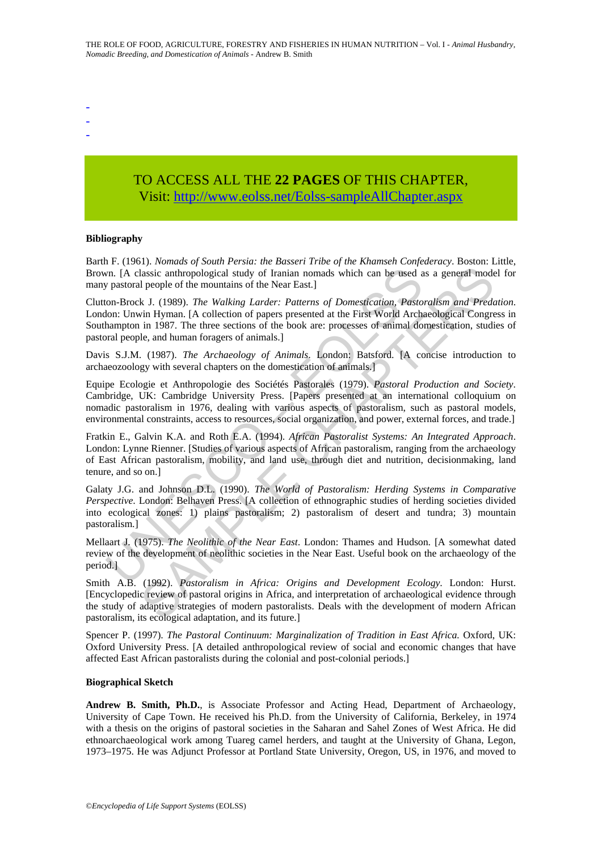- -
- -
- -

# TO ACCESS ALL THE **22 PAGES** OF THIS CHAPTER, Visi[t: http://www.eolss.net/Eolss-sampleAllChapter.aspx](https://www.eolss.net/ebooklib/sc_cart.aspx?File=E5-01A-01-04)

#### **Bibliography**

Barth F. (1961). *Nomads of South Persia: the Basseri Tribe of the Khamseh Confederacy*. Boston: Little, Brown. [A classic anthropological study of Iranian nomads which can be used as a general model for many pastoral people of the mountains of the Near East.]

For IA classic anthropological study of Iranian nomads which can be used a<br>pastoral people of the mountains of the Near East.]<br>on-Brock J. (1989). *The Walking Larder: Patterns of Domestication, Pasto*<br>oho: Unwin Hyman. [ Assice anthropological study of Iranian nomads which can be used as a general model<br>assice anthropological study of Iranian nomads which can be used as a general model<br>people of the mountains of the Near East.]<br>Hence The Clutton-Brock J. (1989). *The Walking Larder: Patterns of Domestication, Pastoralism and Predation*. London: Unwin Hyman. [A collection of papers presented at the First World Archaeological Congress in Southampton in 1987. The three sections of the book are: processes of animal domestication, studies of pastoral people, and human foragers of animals.]

Davis S.J.M. (1987). *The Archaeology of Animals*. London: Batsford. [A concise introduction to archaeozoology with several chapters on the domestication of animals.]

Equipe Ecologie et Anthropologie des Sociétés Pastorales (1979). *Pastoral Production and Society*. Cambridge, UK: Cambridge University Press. [Papers presented at an international colloquium on nomadic pastoralism in 1976, dealing with various aspects of pastoralism, such as pastoral models, environmental constraints, access to resources, social organization, and power, external forces, and trade.]

Fratkin E., Galvin K.A. and Roth E.A. (1994). *African Pastoralist Systems: An Integrated Approach*. London: Lynne Rienner. [Studies of various aspects of African pastoralism, ranging from the archaeology of East African pastoralism, mobility, and land use, through diet and nutrition, decisionmaking, land tenure, and so on.]

Galaty J.G. and Johnson D.L. (1990). *The World of Pastoralism: Herding Systems in Comparative Perspective*. London: Belhaven Press. [A collection of ethnographic studies of herding societies divided into ecological zones: 1) plains pastoralism; 2) pastoralism of desert and tundra; 3) mountain pastoralism.]

Mellaart J. (1975). *The Neolithic of the Near East*. London: Thames and Hudson. [A somewhat dated review of the development of neolithic societies in the Near East. Useful book on the archaeology of the period.]

Smith A.B. (1992). *Pastoralism in Africa: Origins and Development Ecology*. London: Hurst. [Encyclopedic review of pastoral origins in Africa, and interpretation of archaeological evidence through the study of adaptive strategies of modern pastoralists. Deals with the development of modern African pastoralism, its ecological adaptation, and its future.]

Spencer P. (1997). *The Pastoral Continuum: Marginalization of Tradition in East Africa.* Oxford, UK: Oxford University Press. [A detailed anthropological review of social and economic changes that have affected East African pastoralists during the colonial and post-colonial periods.]

#### **Biographical Sketch**

**Andrew B. Smith, Ph.D.**, is Associate Professor and Acting Head, Department of Archaeology, University of Cape Town. He received his Ph.D. from the University of California, Berkeley, in 1974 with a thesis on the origins of pastoral societies in the Saharan and Sahel Zones of West Africa. He did ethnoarchaeological work among Tuareg camel herders, and taught at the University of Ghana, Legon, 1973–1975. He was Adjunct Professor at Portland State University, Oregon, US, in 1976, and moved to